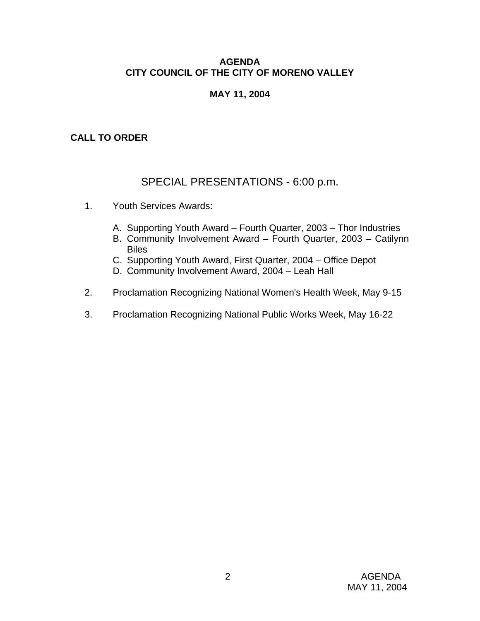## **AGENDA CITY COUNCIL OF THE CITY OF MORENO VALLEY**

# **MAY 11, 2004**

# **CALL TO ORDER**

# SPECIAL PRESENTATIONS - 6:00 p.m.

- 1. Youth Services Awards:
	- A. Supporting Youth Award Fourth Quarter, 2003 Thor Industries
	- B. Community Involvement Award Fourth Quarter, 2003 Catilynn Biles
	- C. Supporting Youth Award, First Quarter, 2004 Office Depot
	- D. Community Involvement Award, 2004 Leah Hall
- 2. Proclamation Recognizing National Women's Health Week, May 9-15
- 3. Proclamation Recognizing National Public Works Week, May 16-22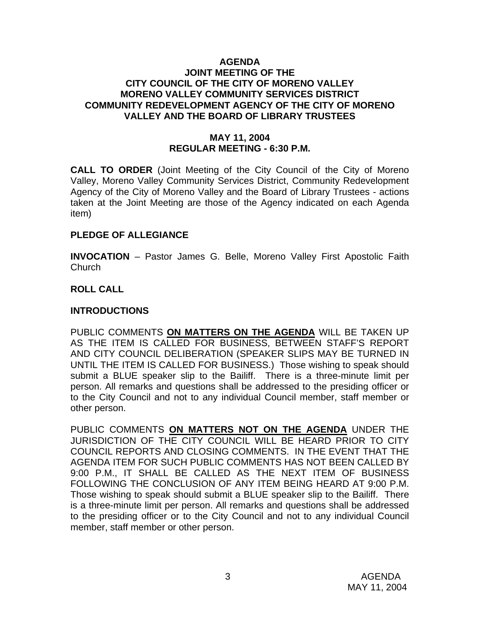#### **AGENDA JOINT MEETING OF THE CITY COUNCIL OF THE CITY OF MORENO VALLEY MORENO VALLEY COMMUNITY SERVICES DISTRICT COMMUNITY REDEVELOPMENT AGENCY OF THE CITY OF MORENO VALLEY AND THE BOARD OF LIBRARY TRUSTEES**

# **MAY 11, 2004 REGULAR MEETING - 6:30 P.M.**

**CALL TO ORDER** (Joint Meeting of the City Council of the City of Moreno Valley, Moreno Valley Community Services District, Community Redevelopment Agency of the City of Moreno Valley and the Board of Library Trustees - actions taken at the Joint Meeting are those of the Agency indicated on each Agenda item)

#### **PLEDGE OF ALLEGIANCE**

**INVOCATION** – Pastor James G. Belle, Moreno Valley First Apostolic Faith Church

#### **ROLL CALL**

#### **INTRODUCTIONS**

PUBLIC COMMENTS **ON MATTERS ON THE AGENDA** WILL BE TAKEN UP AS THE ITEM IS CALLED FOR BUSINESS, BETWEEN STAFF'S REPORT AND CITY COUNCIL DELIBERATION (SPEAKER SLIPS MAY BE TURNED IN UNTIL THE ITEM IS CALLED FOR BUSINESS.) Those wishing to speak should submit a BLUE speaker slip to the Bailiff. There is a three-minute limit per person. All remarks and questions shall be addressed to the presiding officer or to the City Council and not to any individual Council member, staff member or other person.

PUBLIC COMMENTS **ON MATTERS NOT ON THE AGENDA** UNDER THE JURISDICTION OF THE CITY COUNCIL WILL BE HEARD PRIOR TO CITY COUNCIL REPORTS AND CLOSING COMMENTS. IN THE EVENT THAT THE AGENDA ITEM FOR SUCH PUBLIC COMMENTS HAS NOT BEEN CALLED BY 9:00 P.M., IT SHALL BE CALLED AS THE NEXT ITEM OF BUSINESS FOLLOWING THE CONCLUSION OF ANY ITEM BEING HEARD AT 9:00 P.M. Those wishing to speak should submit a BLUE speaker slip to the Bailiff. There is a three-minute limit per person. All remarks and questions shall be addressed to the presiding officer or to the City Council and not to any individual Council member, staff member or other person.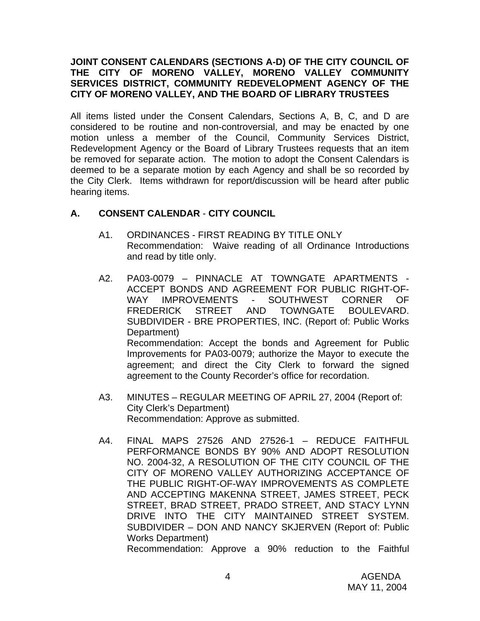### **JOINT CONSENT CALENDARS (SECTIONS A-D) OF THE CITY COUNCIL OF THE CITY OF MORENO VALLEY, MORENO VALLEY COMMUNITY SERVICES DISTRICT, COMMUNITY REDEVELOPMENT AGENCY OF THE CITY OF MORENO VALLEY, AND THE BOARD OF LIBRARY TRUSTEES**

All items listed under the Consent Calendars, Sections A, B, C, and D are considered to be routine and non-controversial, and may be enacted by one motion unless a member of the Council, Community Services District, Redevelopment Agency or the Board of Library Trustees requests that an item be removed for separate action. The motion to adopt the Consent Calendars is deemed to be a separate motion by each Agency and shall be so recorded by the City Clerk. Items withdrawn for report/discussion will be heard after public hearing items.

## **A. CONSENT CALENDAR** - **CITY COUNCIL**

- A1. ORDINANCES FIRST READING BY TITLE ONLY Recommendation: Waive reading of all Ordinance Introductions and read by title only.
- A2. PA03-0079 PINNACLE AT TOWNGATE APARTMENTS ACCEPT BONDS AND AGREEMENT FOR PUBLIC RIGHT-OF-WAY IMPROVEMENTS - SOUTHWEST CORNER OF FREDERICK STREET AND TOWNGATE BOULEVARD. SUBDIVIDER - BRE PROPERTIES, INC. (Report of: Public Works Department) Recommendation: Accept the bonds and Agreement for Public Improvements for PA03-0079; authorize the Mayor to execute the agreement; and direct the City Clerk to forward the signed agreement to the County Recorder's office for recordation.
- A3. MINUTES REGULAR MEETING OF APRIL 27, 2004 (Report of: City Clerk's Department) Recommendation: Approve as submitted.
- A4. FINAL MAPS 27526 AND 27526-1 REDUCE FAITHFUL PERFORMANCE BONDS BY 90% AND ADOPT RESOLUTION NO. 2004-32, A RESOLUTION OF THE CITY COUNCIL OF THE CITY OF MORENO VALLEY AUTHORIZING ACCEPTANCE OF THE PUBLIC RIGHT-OF-WAY IMPROVEMENTS AS COMPLETE AND ACCEPTING MAKENNA STREET, JAMES STREET, PECK STREET, BRAD STREET, PRADO STREET, AND STACY LYNN DRIVE INTO THE CITY MAINTAINED STREET SYSTEM. SUBDIVIDER – DON AND NANCY SKJERVEN (Report of: Public Works Department)

Recommendation: Approve a 90% reduction to the Faithful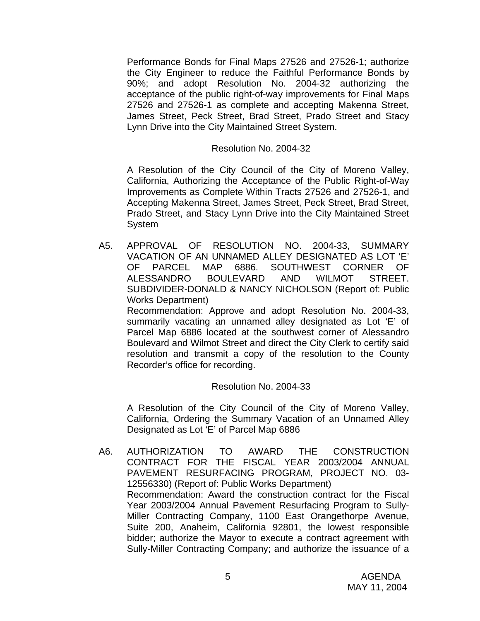Performance Bonds for Final Maps 27526 and 27526-1; authorize the City Engineer to reduce the Faithful Performance Bonds by 90%; and adopt Resolution No. 2004-32 authorizing the acceptance of the public right-of-way improvements for Final Maps 27526 and 27526-1 as complete and accepting Makenna Street, James Street, Peck Street, Brad Street, Prado Street and Stacy Lynn Drive into the City Maintained Street System.

#### Resolution No. 2004-32

 A Resolution of the City Council of the City of Moreno Valley, California, Authorizing the Acceptance of the Public Right-of-Way Improvements as Complete Within Tracts 27526 and 27526-1, and Accepting Makenna Street, James Street, Peck Street, Brad Street, Prado Street, and Stacy Lynn Drive into the City Maintained Street System

A5. APPROVAL OF RESOLUTION NO. 2004-33, SUMMARY VACATION OF AN UNNAMED ALLEY DESIGNATED AS LOT 'E' OF PARCEL MAP 6886. SOUTHWEST CORNER OF ALESSANDRO BOULEVARD AND WILMOT STREET. SUBDIVIDER-DONALD & NANCY NICHOLSON (Report of: Public Works Department)

 Recommendation: Approve and adopt Resolution No. 2004-33, summarily vacating an unnamed alley designated as Lot 'E' of Parcel Map 6886 located at the southwest corner of Alessandro Boulevard and Wilmot Street and direct the City Clerk to certify said resolution and transmit a copy of the resolution to the County Recorder's office for recording.

#### Resolution No. 2004-33

A Resolution of the City Council of the City of Moreno Valley, California, Ordering the Summary Vacation of an Unnamed Alley Designated as Lot 'E' of Parcel Map 6886

A6. AUTHORIZATION TO AWARD THE CONSTRUCTION CONTRACT FOR THE FISCAL YEAR 2003/2004 ANNUAL PAVEMENT RESURFACING PROGRAM, PROJECT NO. 03- 12556330) (Report of: Public Works Department) Recommendation: Award the construction contract for the Fiscal Year 2003/2004 Annual Pavement Resurfacing Program to Sully-Miller Contracting Company, 1100 East Orangethorpe Avenue, Suite 200, Anaheim, California 92801, the lowest responsible bidder; authorize the Mayor to execute a contract agreement with Sully-Miller Contracting Company; and authorize the issuance of a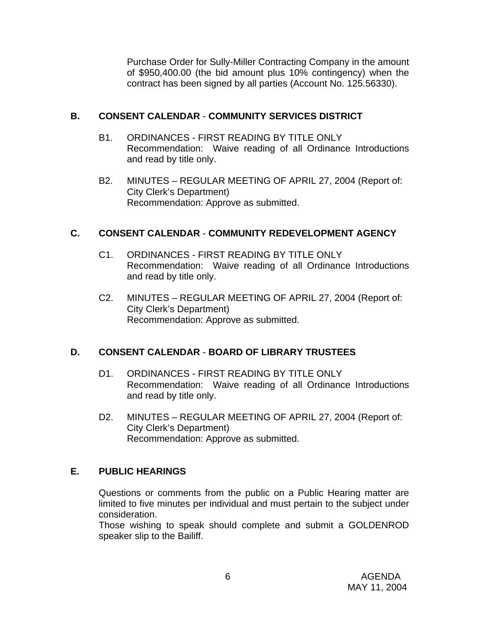Purchase Order for Sully-Miller Contracting Company in the amount of \$950,400.00 (the bid amount plus 10% contingency) when the contract has been signed by all parties (Account No. 125.56330).

# **B. CONSENT CALENDAR** - **COMMUNITY SERVICES DISTRICT**

- B1. ORDINANCES FIRST READING BY TITLE ONLY Recommendation: Waive reading of all Ordinance Introductions and read by title only.
- B2. MINUTES REGULAR MEETING OF APRIL 27, 2004 (Report of: City Clerk's Department) Recommendation: Approve as submitted.

# **C. CONSENT CALENDAR** - **COMMUNITY REDEVELOPMENT AGENCY**

- C1. ORDINANCES FIRST READING BY TITLE ONLY Recommendation: Waive reading of all Ordinance Introductions and read by title only.
- C2. MINUTES REGULAR MEETING OF APRIL 27, 2004 (Report of: City Clerk's Department) Recommendation: Approve as submitted.

# **D. CONSENT CALENDAR** - **BOARD OF LIBRARY TRUSTEES**

- D1. ORDINANCES FIRST READING BY TITLE ONLY Recommendation: Waive reading of all Ordinance Introductions and read by title only.
- D2. MINUTES REGULAR MEETING OF APRIL 27, 2004 (Report of: City Clerk's Department) Recommendation: Approve as submitted.

#### **E. PUBLIC HEARINGS**

Questions or comments from the public on a Public Hearing matter are limited to five minutes per individual and must pertain to the subject under consideration.

 Those wishing to speak should complete and submit a GOLDENROD speaker slip to the Bailiff.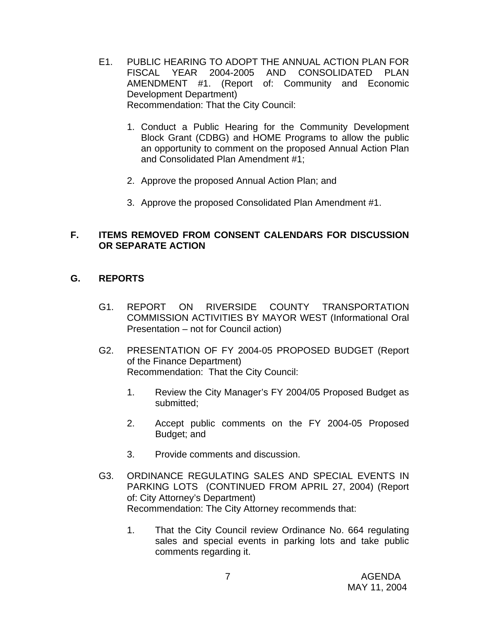- E1. PUBLIC HEARING TO ADOPT THE ANNUAL ACTION PLAN FOR FISCAL YEAR 2004-2005 AND CONSOLIDATED PLAN AMENDMENT #1. (Report of: Community and Economic Development Department) Recommendation: That the City Council:
	- 1. Conduct a Public Hearing for the Community Development Block Grant (CDBG) and HOME Programs to allow the public an opportunity to comment on the proposed Annual Action Plan and Consolidated Plan Amendment #1;
	- 2. Approve the proposed Annual Action Plan; and
	- 3. Approve the proposed Consolidated Plan Amendment #1.

# **F. ITEMS REMOVED FROM CONSENT CALENDARS FOR DISCUSSION OR SEPARATE ACTION**

# **G. REPORTS**

- G1. REPORT ON RIVERSIDE COUNTY TRANSPORTATION COMMISSION ACTIVITIES BY MAYOR WEST (Informational Oral Presentation – not for Council action)
- G2. PRESENTATION OF FY 2004-05 PROPOSED BUDGET (Report of the Finance Department) Recommendation: That the City Council:
	- 1. Review the City Manager's FY 2004/05 Proposed Budget as submitted;
	- 2. Accept public comments on the FY 2004-05 Proposed Budget; and
	- 3. Provide comments and discussion.
- G3. ORDINANCE REGULATING SALES AND SPECIAL EVENTS IN PARKING LOTS (CONTINUED FROM APRIL 27, 2004) (Report of: City Attorney's Department) Recommendation: The City Attorney recommends that:
	- 1. That the City Council review Ordinance No. 664 regulating sales and special events in parking lots and take public comments regarding it.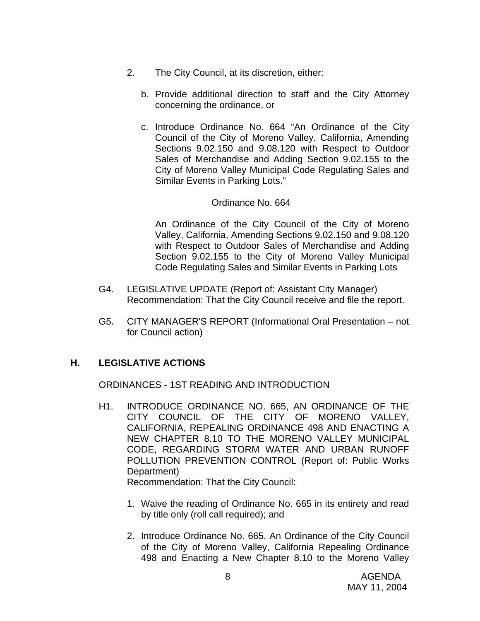- 2. The City Council, at its discretion, either:
	- b. Provide additional direction to staff and the City Attorney concerning the ordinance, or
	- c. Introduce Ordinance No. 664 "An Ordinance of the City Council of the City of Moreno Valley, California, Amending Sections 9.02.150 and 9.08.120 with Respect to Outdoor Sales of Merchandise and Adding Section 9.02.155 to the City of Moreno Valley Municipal Code Regulating Sales and Similar Events in Parking Lots."

#### Ordinance No. 664

 An Ordinance of the City Council of the City of Moreno Valley, California, Amending Sections 9.02.150 and 9.08.120 with Respect to Outdoor Sales of Merchandise and Adding Section 9.02.155 to the City of Moreno Valley Municipal Code Regulating Sales and Similar Events in Parking Lots

- G4. LEGISLATIVE UPDATE (Report of: Assistant City Manager) Recommendation: That the City Council receive and file the report.
- G5. CITY MANAGER'S REPORT (Informational Oral Presentation not for Council action)

# **H. LEGISLATIVE ACTIONS**

ORDINANCES - 1ST READING AND INTRODUCTION

H1. INTRODUCE ORDINANCE NO. 665, AN ORDINANCE OF THE CITY COUNCIL OF THE CITY OF MORENO VALLEY, CALIFORNIA, REPEALING ORDINANCE 498 AND ENACTING A NEW CHAPTER 8.10 TO THE MORENO VALLEY MUNICIPAL CODE, REGARDING STORM WATER AND URBAN RUNOFF POLLUTION PREVENTION CONTROL (Report of: Public Works Department)

Recommendation: That the City Council:

- 1. Waive the reading of Ordinance No. 665 in its entirety and read by title only (roll call required); and
- 2. Introduce Ordinance No. 665, An Ordinance of the City Council of the City of Moreno Valley, California Repealing Ordinance 498 and Enacting a New Chapter 8.10 to the Moreno Valley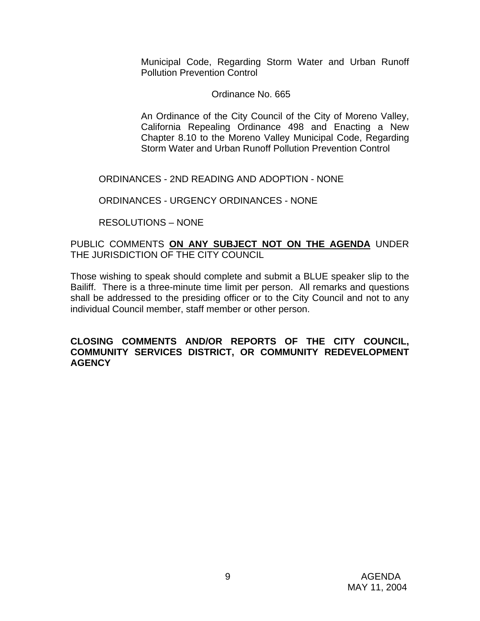Municipal Code, Regarding Storm Water and Urban Runoff Pollution Prevention Control

## Ordinance No. 665

 An Ordinance of the City Council of the City of Moreno Valley, California Repealing Ordinance 498 and Enacting a New Chapter 8.10 to the Moreno Valley Municipal Code, Regarding Storm Water and Urban Runoff Pollution Prevention Control

ORDINANCES - 2ND READING AND ADOPTION - NONE

ORDINANCES - URGENCY ORDINANCES - NONE

RESOLUTIONS – NONE

# PUBLIC COMMENTS **ON ANY SUBJECT NOT ON THE AGENDA** UNDER THE JURISDICTION OF THE CITY COUNCIL

Those wishing to speak should complete and submit a BLUE speaker slip to the Bailiff. There is a three-minute time limit per person. All remarks and questions shall be addressed to the presiding officer or to the City Council and not to any individual Council member, staff member or other person.

#### **CLOSING COMMENTS AND/OR REPORTS OF THE CITY COUNCIL, COMMUNITY SERVICES DISTRICT, OR COMMUNITY REDEVELOPMENT AGENCY**